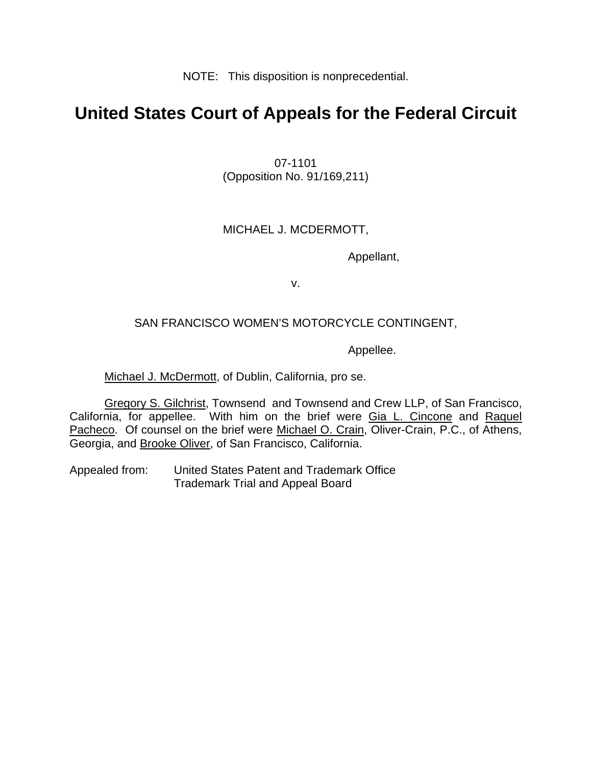NOTE: This disposition is nonprecedential.

# **United States Court of Appeals for the Federal Circuit**

07-1101 (Opposition No. 91/169,211)

### MICHAEL J. MCDERMOTT,

Appellant,

v.

### SAN FRANCISCO WOMEN'S MOTORCYCLE CONTINGENT,

Appellee.

Michael J. McDermott, of Dublin, California, pro se.

Gregory S. Gilchrist, Townsend and Townsend and Crew LLP, of San Francisco, California, for appellee. With him on the brief were Gia L. Cincone and Raquel Pacheco. Of counsel on the brief were Michael O. Crain, Oliver-Crain, P.C., of Athens, Georgia, and Brooke Oliver, of San Francisco, California.

Appealed from: United States Patent and Trademark Office Trademark Trial and Appeal Board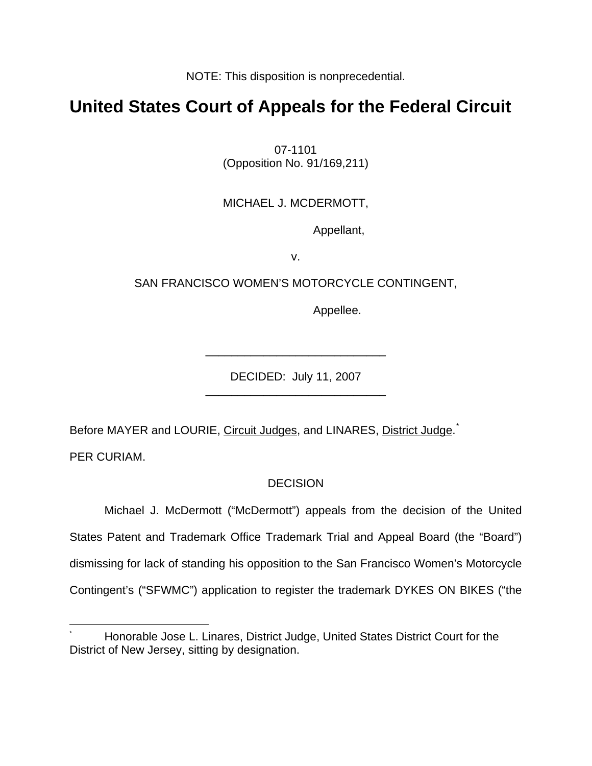NOTE: This disposition is nonprecedential.

# **United States Court of Appeals for the Federal Circuit**

07-1101 (Opposition No. 91/169,211)

## MICHAEL J. MCDERMOTT,

Appellant,

v.

## SAN FRANCISCO WOMEN'S MOTORCYCLE CONTINGENT,

Appellee.

DECIDED: July 11, 2007 \_\_\_\_\_\_\_\_\_\_\_\_\_\_\_\_\_\_\_\_\_\_\_\_\_\_\_\_

\_\_\_\_\_\_\_\_\_\_\_\_\_\_\_\_\_\_\_\_\_\_\_\_\_\_\_\_

Before MAYER and LOURIE, Circuit Judges, and LINARES, District Judge.<sup>[\\*](#page-1-0)</sup>

PER CURIAM.

<u>.</u>

## **DECISION**

 Michael J. McDermott ("McDermott") appeals from the decision of the United States Patent and Trademark Office Trademark Trial and Appeal Board (the "Board") dismissing for lack of standing his opposition to the San Francisco Women's Motorcycle Contingent's ("SFWMC") application to register the trademark DYKES ON BIKES ("the

<span id="page-1-0"></span><sup>\*</sup> Honorable Jose L. Linares, District Judge, United States District Court for the District of New Jersey, sitting by designation.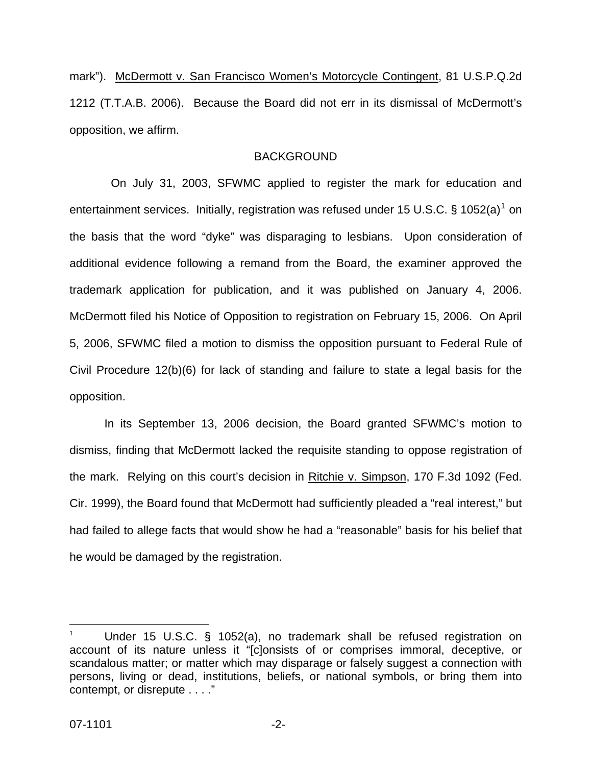mark"). McDermott v. San Francisco Women's Motorcycle Contingent, 81 U.S.P.Q.2d 1212 (T.T.A.B. 2006). Because the Board did not err in its dismissal of McDermott's opposition, we affirm.

#### **BACKGROUND**

 On July 31, 2003, SFWMC applied to register the mark for education and entertainment services. Initially, registration was refused under [1](#page-2-0)5 U.S.C. § 1052(a)<sup>1</sup> on the basis that the word "dyke" was disparaging to lesbians. Upon consideration of additional evidence following a remand from the Board, the examiner approved the trademark application for publication, and it was published on January 4, 2006. McDermott filed his Notice of Opposition to registration on February 15, 2006. On April 5, 2006, SFWMC filed a motion to dismiss the opposition pursuant to Federal Rule of Civil Procedure 12(b)(6) for lack of standing and failure to state a legal basis for the opposition.

In its September 13, 2006 decision, the Board granted SFWMC's motion to dismiss, finding that McDermott lacked the requisite standing to oppose registration of the mark. Relying on this court's decision in Ritchie v. Simpson, 170 F.3d 1092 (Fed. Cir. 1999), the Board found that McDermott had sufficiently pleaded a "real interest," but had failed to allege facts that would show he had a "reasonable" basis for his belief that he would be damaged by the registration.

<u>.</u>

<span id="page-2-0"></span><sup>1</sup> Under 15 U.S.C. § 1052(a), no trademark shall be refused registration on account of its nature unless it "[c]onsists of or comprises immoral, deceptive, or scandalous matter; or matter which may disparage or falsely suggest a connection with persons, living or dead, institutions, beliefs, or national symbols, or bring them into contempt, or disrepute . . . ."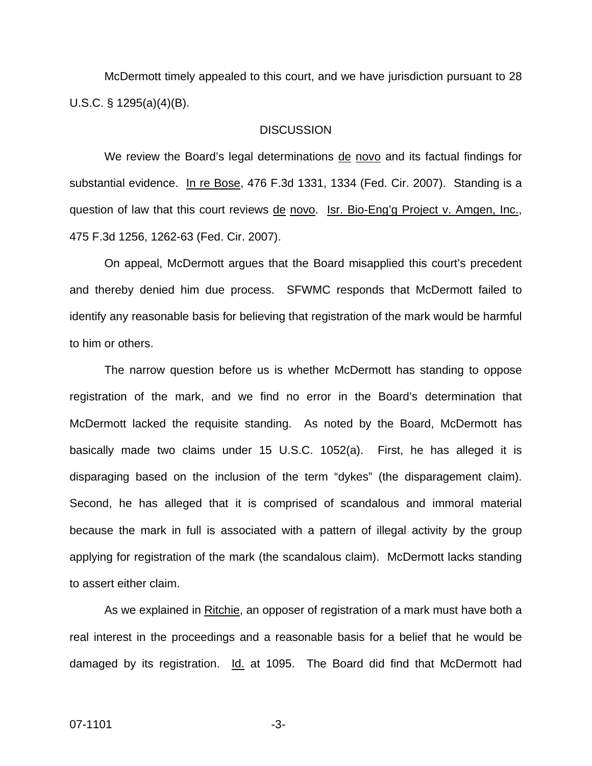McDermott timely appealed to this court, and we have jurisdiction pursuant to 28 U.S.C. § 1295(a)(4)(B).

#### **DISCUSSION**

We review the Board's legal determinations de novo and its factual findings for substantial evidence. In re Bose, 476 F.3d 1331, 1334 (Fed. Cir. 2007). Standing is a question of law that this court reviews de novo. Isr. Bio-Eng'g Project v. Amgen, Inc., 475 F.3d 1256, 1262-63 (Fed. Cir. 2007).

On appeal, McDermott argues that the Board misapplied this court's precedent and thereby denied him due process. SFWMC responds that McDermott failed to identify any reasonable basis for believing that registration of the mark would be harmful to him or others.

The narrow question before us is whether McDermott has standing to oppose registration of the mark, and we find no error in the Board's determination that McDermott lacked the requisite standing. As noted by the Board, McDermott has basically made two claims under 15 U.S.C. 1052(a). First, he has alleged it is disparaging based on the inclusion of the term "dykes" (the disparagement claim). Second, he has alleged that it is comprised of scandalous and immoral material because the mark in full is associated with a pattern of illegal activity by the group applying for registration of the mark (the scandalous claim). McDermott lacks standing to assert either claim.

As we explained in Ritchie, an opposer of registration of a mark must have both a real interest in the proceedings and a reasonable basis for a belief that he would be damaged by its registration. Id. at 1095. The Board did find that McDermott had